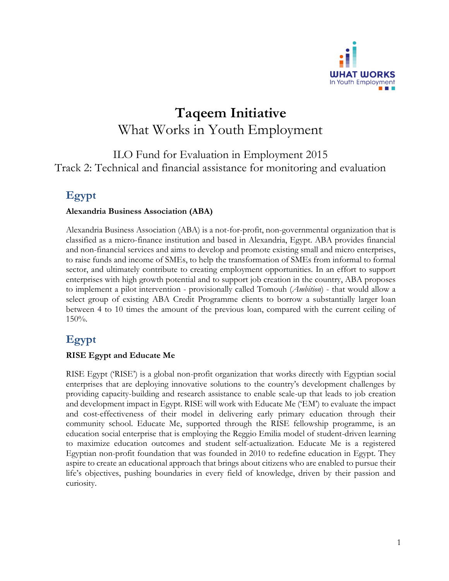

# **Taqeem Initiative** What Works in Youth Employment

### ILO Fund for Evaluation in Employment 2015 Track 2: Technical and financial assistance for monitoring and evaluation

# **Egypt**

#### **Alexandria Business Association (ABA)**

Alexandria Business Association (ABA) is a not-for-profit, non-governmental organization that is classified as a micro-finance institution and based in Alexandria, Egypt. ABA provides financial and non-financial services and aims to develop and promote existing small and micro enterprises, to raise funds and income of SMEs, to help the transformation of SMEs from informal to formal sector, and ultimately contribute to creating employment opportunities. In an effort to support enterprises with high growth potential and to support job creation in the country, ABA proposes to implement a pilot intervention - provisionally called Tomouh (*Ambition*) - that would allow a select group of existing ABA Credit Programme clients to borrow a substantially larger loan between 4 to 10 times the amount of the previous loan, compared with the current ceiling of 150%.

## **Egypt**

#### **RISE Egypt and Educate Me**

RISE Egypt ('RISE') is a global non-profit organization that works directly with Egyptian social enterprises that are deploying innovative solutions to the country's development challenges by providing capacity-building and research assistance to enable scale-up that leads to job creation and development impact in Egypt. RISE will work with Educate Me ('EM') to evaluate the impact and cost-effectiveness of their model in delivering early primary education through their community school. Educate Me, supported through the RISE fellowship programme, is an education social enterprise that is employing the Reggio Emilia model of student-driven learning to maximize education outcomes and student self-actualization. Educate Me is a registered Egyptian non-profit foundation that was founded in 2010 to redefine education in Egypt. They aspire to create an educational approach that brings about citizens who are enabled to pursue their life's objectives, pushing boundaries in every field of knowledge, driven by their passion and curiosity.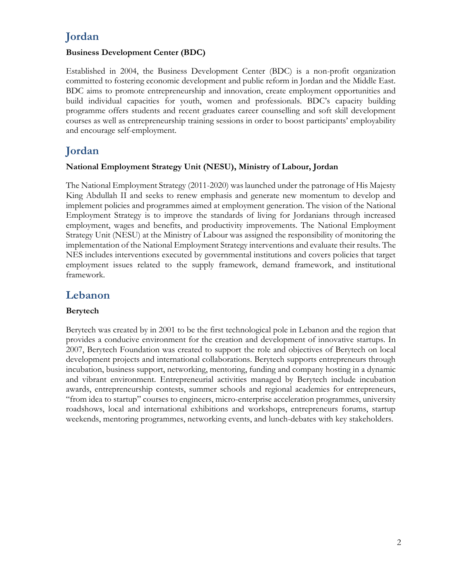# **Jordan**

#### **Business Development Center (BDC)**

Established in 2004, the Business Development Center (BDC) is a non-profit organization committed to fostering economic development and public reform in Jordan and the Middle East. BDC aims to promote entrepreneurship and innovation, create employment opportunities and build individual capacities for youth, women and professionals. BDC's capacity building programme offers students and recent graduates career counselling and soft skill development courses as well as entrepreneurship training sessions in order to boost participants' employability and encourage self-employment.

## **Jordan**

#### **National Employment Strategy Unit (NESU), Ministry of Labour, Jordan**

The National Employment Strategy (2011-2020) was launched under the patronage of His Majesty King Abdullah II and seeks to renew emphasis and generate new momentum to develop and implement policies and programmes aimed at employment generation. The vision of the National Employment Strategy is to improve the standards of living for Jordanians through increased employment, wages and benefits, and productivity improvements. The National Employment Strategy Unit (NESU) at the Ministry of Labour was assigned the responsibility of monitoring the implementation of the National Employment Strategy interventions and evaluate their results. The NES includes interventions executed by governmental institutions and covers policies that target employment issues related to the supply framework, demand framework, and institutional framework.

### **Lebanon**

### **Berytech**

Berytech was created by in 2001 to be the first technological pole in Lebanon and the region that provides a conducive environment for the creation and development of innovative startups. In 2007, Berytech Foundation was created to support the role and objectives of Berytech on local development projects and international collaborations. Berytech supports entrepreneurs through incubation, business support, networking, mentoring, funding and company hosting in a dynamic and vibrant environment. Entrepreneurial activities managed by Berytech include incubation awards, entrepreneurship contests, summer schools and regional academies for entrepreneurs, "from idea to startup" courses to engineers, micro-enterprise acceleration programmes, university roadshows, local and international exhibitions and workshops, entrepreneurs forums, startup weekends, mentoring programmes, networking events, and lunch-debates with key stakeholders.